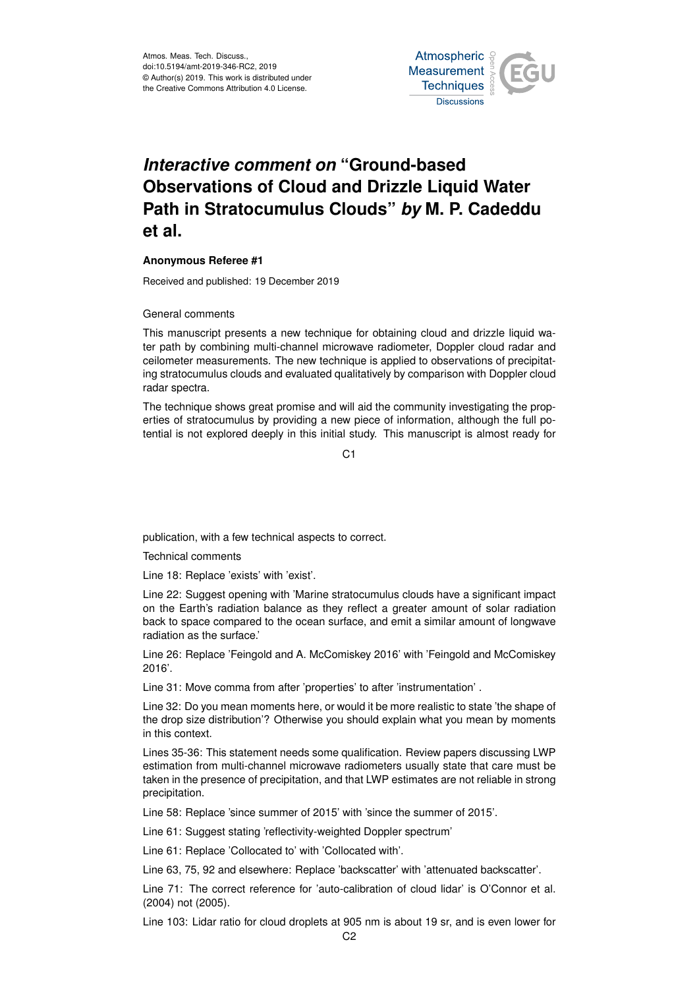

## *Interactive comment on* **"Ground-based Observations of Cloud and Drizzle Liquid Water Path in Stratocumulus Clouds"** *by* **M. P. Cadeddu et al.**

## **Anonymous Referee #1**

Received and published: 19 December 2019

General comments

This manuscript presents a new technique for obtaining cloud and drizzle liquid water path by combining multi-channel microwave radiometer, Doppler cloud radar and ceilometer measurements. The new technique is applied to observations of precipitating stratocumulus clouds and evaluated qualitatively by comparison with Doppler cloud radar spectra.

The technique shows great promise and will aid the community investigating the properties of stratocumulus by providing a new piece of information, although the full potential is not explored deeply in this initial study. This manuscript is almost ready for

 $C<sub>1</sub>$ 

publication, with a few technical aspects to correct.

Technical comments

Line 18: Replace 'exists' with 'exist'.

Line 22: Suggest opening with 'Marine stratocumulus clouds have a significant impact on the Earth's radiation balance as they reflect a greater amount of solar radiation back to space compared to the ocean surface, and emit a similar amount of longwave radiation as the surface.'

Line 26: Replace 'Feingold and A. McComiskey 2016' with 'Feingold and McComiskey 2016'.

Line 31: Move comma from after 'properties' to after 'instrumentation' .

Line 32: Do you mean moments here, or would it be more realistic to state 'the shape of the drop size distribution'? Otherwise you should explain what you mean by moments in this context.

Lines 35-36: This statement needs some qualification. Review papers discussing LWP estimation from multi-channel microwave radiometers usually state that care must be taken in the presence of precipitation, and that LWP estimates are not reliable in strong precipitation.

Line 58: Replace 'since summer of 2015' with 'since the summer of 2015'.

Line 61: Suggest stating 'reflectivity-weighted Doppler spectrum'

Line 61: Replace 'Collocated to' with 'Collocated with'.

Line 63, 75, 92 and elsewhere: Replace 'backscatter' with 'attenuated backscatter'.

Line 71: The correct reference for 'auto-calibration of cloud lidar' is O'Connor et al. (2004) not (2005).

Line 103: Lidar ratio for cloud droplets at 905 nm is about 19 sr, and is even lower for